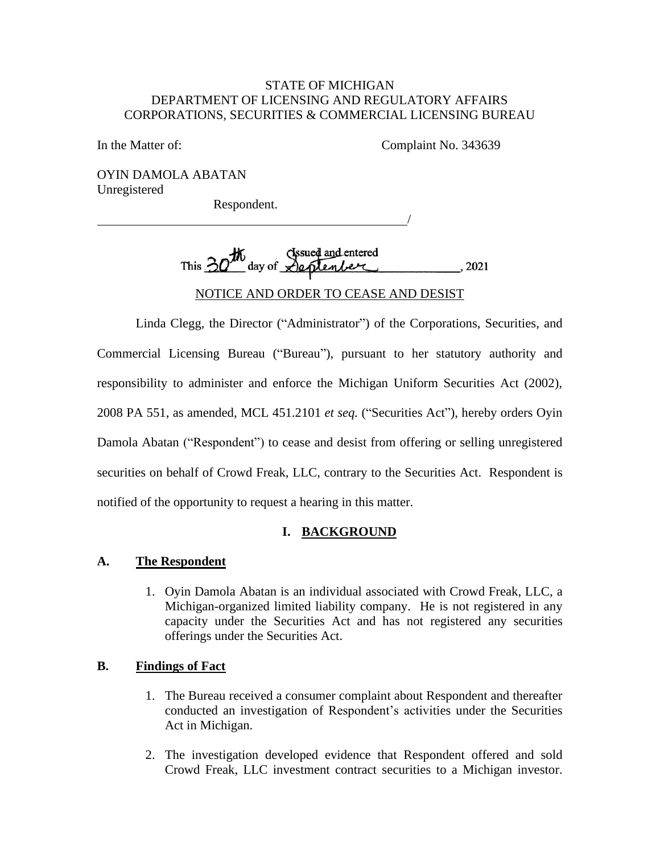#### STATE OF MICHIGAN STATE OF MICHIGAN DEPARTMENT OF LICENSING AND REGULATORY AFFAIRS DEPARTMENT OF LICENSING AND REGULATORY AFFAIRS CORPORATIONS, SECURITIES & COMMERCIAL LICENSING BUREAU CORPORATIONS, SECURITIES & COMMERCIAL LICENSING BUREAU

In the Matter of: Complaint No. 343639 In the Matter of: Complaint No. 343639

/

/

OYIN DAMOLA ABATAN OYIN DAMOLA ABATAN Unregistered Unregistered

Respondent. Respondent.

Issued and entered This  $30^{10}$  day of  $\sqrt{2}$  eptenber (2021) Issued and entered This  $30^{10}$  day of  $\sqrt{2}$  prenticular (2021)

NOTICE AND ORDER TO CEASE AND DESIST NOTICE AND ORDER TO CEASE AND DESIST

Linda Clegg, the Director ("Administrator") of the Corporations, Securities, and Linda Clegg, the Director ("Administrator") of the Corporations, Securities, and Commercial Licensing Bureau ("Bureau"), pursuant to her statutory authority and Commercial Licensing Bureau ("Bureau"), pursuant to her statutory authority and<br>responsibility to administer and enforce the Michigan Uniform Securities Act (2002), 2008 PA 551, as amended, MCL 451.2101 *et seq.* ("Securities Act"), hereby orders Oyin<br>Damola Abatan ("Respondent") to cease and desist from offering or selling unregistered Damola Abatan ("Respondent") to cease and desist from offering or selling unregistered securities on behalf of Crowd Freak, LLC, contrary to the Securities Act. Respondent is notified of the opportunity to request a hearing in this matter. notified of the opportunity to request a hearing in this matter.

# I. BACKGROUND **I. BACKGROUND**

### A. The Respondent **A. The Respondent**

1. Oyin Damola Abatan is an individual associated with Crowd Freak, LLC, a 1. Oyin Damola Abatan is an individual associated with Crowd Freak, LLC, a Michigan-organized limited liability company. He is not registered in any capacity under the Securities Act and has not registered any securities offerings under the Securities Act. Michigan-organized limited liability company. He is not registered in any capacity under the Securities Act and has not registered any securities offerings under the Securities Act.

### B. Findings of Fact **B. Findings of Fact**

- 1. The Bureau received a consumer complaint about Respondent and thereafter conducted an investigation of Respondent's activities under the Securities Act in Michigan. 1. The Bureau received a consumer complaint about Respondent and thereafter conducted an investigation of Respondent's activities under the Securities Act in Michigan.
- 2. The investigation developed evidence that Respondent offered and sold 2. The investigation developed evidence that Respondent offered and sold Crowd Freak, LLC investment contract securities to a Michigan investor.Crowd Freak, LLC investment contract securities to a Michigan investor.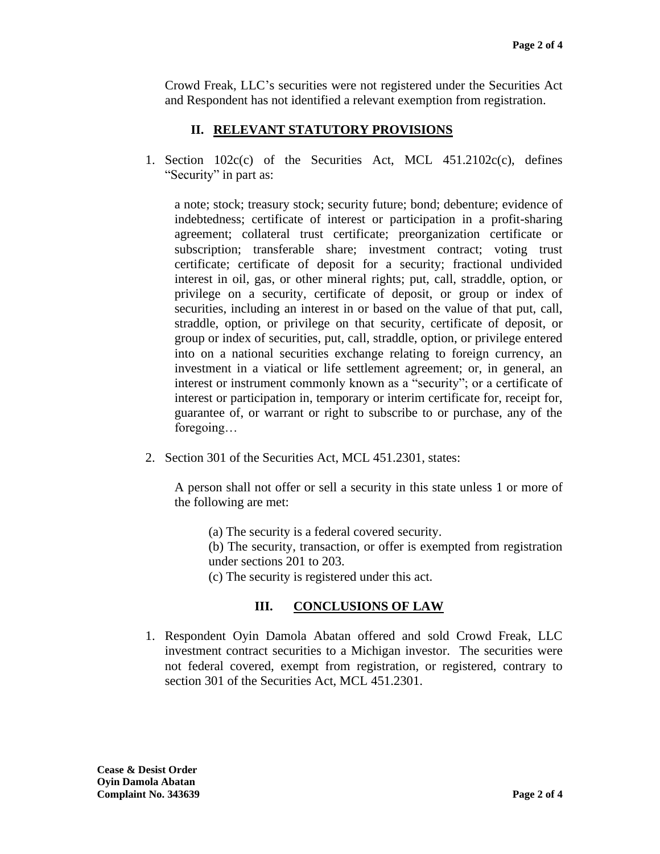Crowd Freak, LLC's securities were not registered under the Securities Act and Respondent has not identified a relevant exemption from registration. Crowd Freak, LLC's securities were not registered under the Securities Act and Respondent has not identified a relevant exemption from registration.

# II. RELEVANT STATUTORY PROVISIONS  **II. RELEVANT STATUTORY PROVISIONS**

1. Section 102c(c) of the Securities Act, MCL 451.2102c(c), defines "Security" in part as: "Security" in part as:

a note; stock; treasury stock; security future; bond; debenture; evidence of a note; stock; treasury stock; security future; bond; debenture; evidence of indebtedness; certificate of interest or participation in a profit-sharing agreement; collateral trust certificate; preorganization certificate or indebtedness; certificate of interest or participation in a profit-sharing agreement; collateral trust certificate; preorganization certificate or subscription; transferable share; investment contract; voting trust certificate; certificate of deposit for a security; fractional undivided interest in oil, gas, or other mineral rights; put, call, straddle, option, or subscription; transferable share; investment contract; voting trust<br>certificate; certificate of deposit for a security; fractional undivided<br>interest in oil, gas, or other mineral rights; put, call, straddle, option, or<br>pr securities, including an interest in or based on the value of that put, call, straddle, option, or privilege on that security, certificate of deposit, or group or index of securities, put, call, straddle, option, or privilege entered into on a national securities exchange relating to foreign currency, an investment in a viatical or life settlement agreement; or, in general, an interest or instrument commonly known as a "security"; or a certificate of interest or participation in, temporary or interim certificate for, receipt for, guarantee of, or warrant or right to subscribe to or purchase, any of the foregoing... securities, including an interest in or based on the value of that put, call, straddle, option, or privilege on that security, certificate of deposit, or group or index of securities, put, call, straddle, option, or privil interest or participation in, temporary or interim certificate for, receipt for, guarantee of, or warrant or right to subscribe to or purchase, any of the foregoing…

2. Section 301 of the Securities Act, MCL 451.2301, states:

2. Section 301 of the Securities Act, MCL 451.2301, states:<br>A person shall not offer or sell a security in this state unless 1 or more of the following are met: the following are met:

(a) The security is a federal covered security. (a) The security is a federal covered security.

(b) The security, transaction, or offer is exempted from registration (b) The security, transaction, or offer is exempted from registration under sections 201 to 203. under sections 201 to 203.

(c) The security is registered under this act. (c) The security is registered under this act.

# III. CONCLUSIONS OF LAW **III. CONCLUSIONS OF LAW**

1. Respondent Oyin Damola Abatan offered and sold Crowd Freak, LLC investment contract securities to a Michigan investor. The securities were not federal covered, exempt from registration, or registered, contrary to section 301 of the Securities Act, MCL 451.2301. section 301 of the Securities Act, MCL 451.2301. 1. Respondent Oyin Damola Abatan offered and sold Crowd Freak, LLC investment contract securities to a Michigan investor. The securities were not federal covered, exempt from registration, or registered, contrary to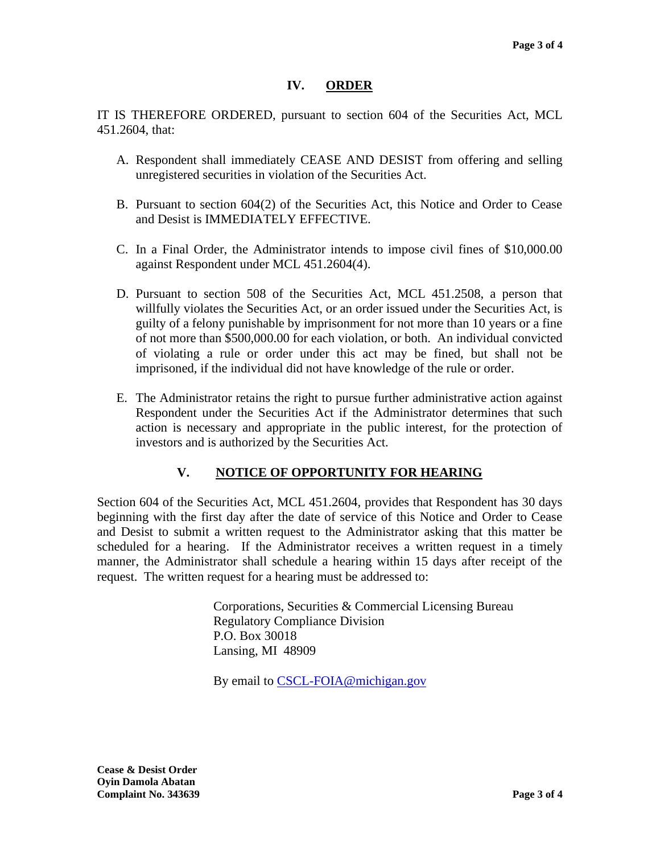### IV. ORDER **IV. ORDER**

IT IS THEREFORE ORDERED, pursuant to section 604 of the Securities Act, MCL IT IS THEREFORE ORDERED, pursuant to section 604 of the Securities Act, MCL 451.2604, that: 451.2604, that:

- A. Respondent shall immediately CEASE AND DESIST from offering and selling unregistered securities in violation of the Securities Act. unregistered securities in violation of the Securities Act.
- B. Pursuant to section 604(2) of the Securities Act, this Notice and Order to Cease and Desist is IMMEDIATELY EFFECTIVE. B. Pursuant to section 604(2) of the Securities Act, this Notice and Order to Cease<br>and Desist is IMMEDIATELY EFFECTIVE.<br>C. In a Final Order, the Administrator intends to impose civil fines of \$10,000.00
- against Respondent under MCL 451.2604(4). against Respondent under MCL 451.2604(4).
- D. Pursuant to section 508 of the Securities Act, MCL 451.2508, a person that D. Pursuant to section 508 of the Securities Act, MCL 451.2508, a person that willfully violates the Securities Act, or an order issued under the Securities Act, is guilty of a felony punishable by imprisonment for not more than 10 years or a fine willfully violates the Securities Act, or an order issued under the Securities Act, is<br>guilty of a felony punishable by imprisonment for not more than 10 years or a fine<br>of not more than \$500,000.00 for each violation, or of violating a rule or order under this act may be fined, but shall not be imprisoned, if the individual did not have knowledge of the rule or order. imprisoned, if the individual did not have knowledge of the rule or order.
- E. The Administrator retains the right to pursue further administrative action against<br>Respondent under the Securities Act if the Administrator determines that such Respondent under the Securities Act if the Administrator determines that such action is necessary and appropriate in the public interest, for the protection of investors and is authorized by the Securities Act. investors and is authorized by the Securities Act.

# V. NOTICE OF OPPORTUNITY FOR HEARING **V. NOTICE OF OPPORTUNITY FOR HEARING**

Section 604 of the Securities Act, MCL 451.2604, provides that Respondent has 30 days beginning with the first day after the date of service of this Notice and Order to Cease beginning with the first day after the date of service of this Notice and Order to Cease and Desist to submit a written request to the Administrator asking that this matter be and Desist to submit a written request to the Administrator asking that this matter be scheduled for a hearing. If the Administrator receives a written request in a timely manner, the Administrator shall schedule a hearing within 15 days after receipt of the request. The written request for a hearing must be addressed to: scheduled for a hearing. If the Administrator receives a written request in a timely manner, the Administrator shall schedule a hearing within 15 days after receipt of the request. The written request for a hearing must be

> Corporations, Securities & Commercial Licensing Bureau Corporations, Securities & Commercial Licensing Bureau Regulatory Compliance Division Regulatory Compliance Division P.O. Box 30018 P.O. Box 30018 Lansing, MI 48909 Lansing, MI 48909

By email to **CSCL-FOIA@michigan.gov**